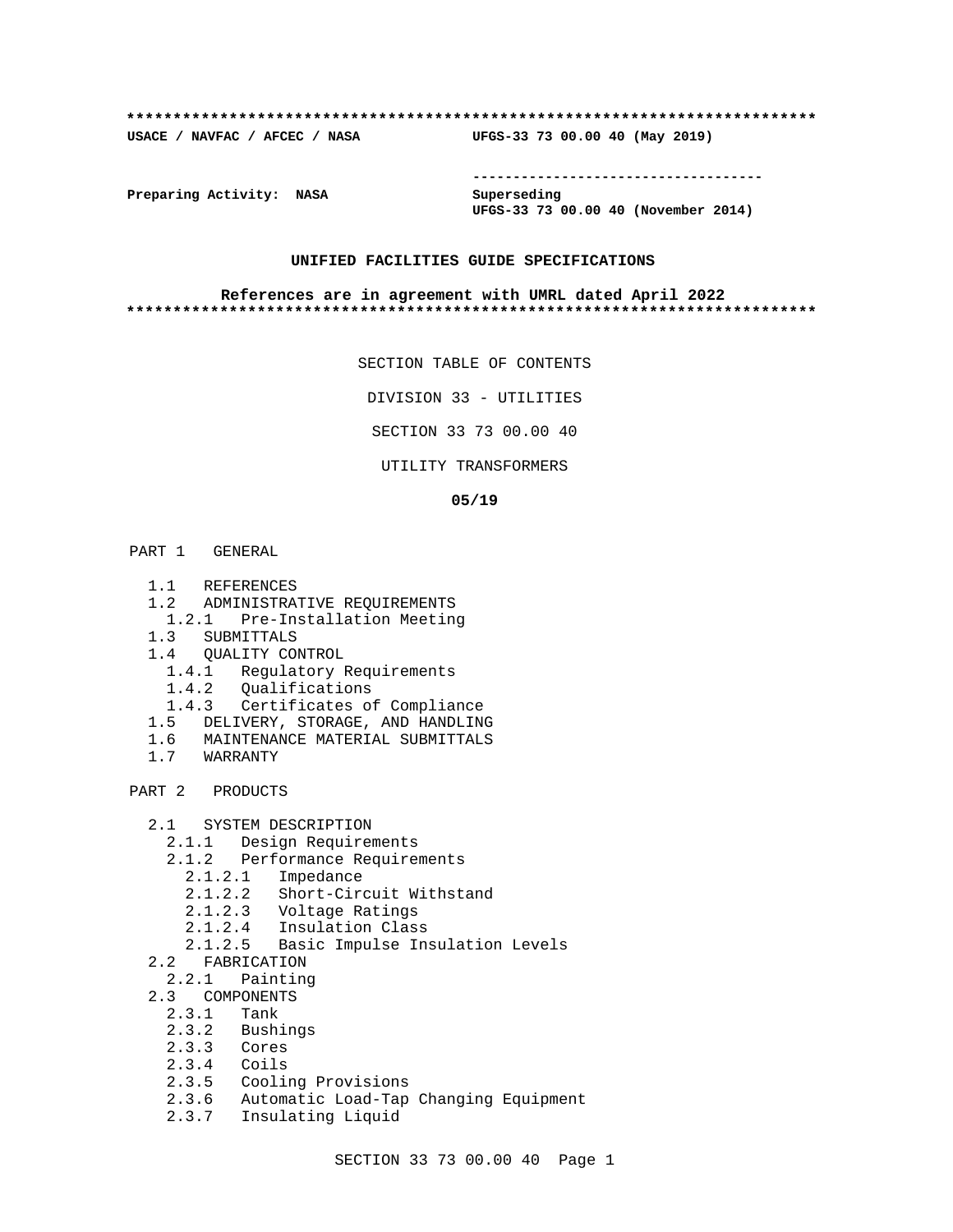#### **\*\*\*\*\*\*\*\*\*\*\*\*\*\*\*\*\*\*\*\*\*\*\*\*\*\*\*\*\*\*\*\*\*\*\*\*\*\*\*\*\*\*\*\*\*\*\*\*\*\*\*\*\*\*\*\*\*\*\*\*\*\*\*\*\*\*\*\*\*\*\*\*\*\***

**USACE / NAVFAC / AFCEC / NASA UFGS-33 73 00.00 40 (May 2019)**

**------------------------------------**

**Preparing Activity: NASA Superseding**

**UFGS-33 73 00.00 40 (November 2014)**

## **UNIFIED FACILITIES GUIDE SPECIFICATIONS**

#### **References are in agreement with UMRL dated April 2022 \*\*\*\*\*\*\*\*\*\*\*\*\*\*\*\*\*\*\*\*\*\*\*\*\*\*\*\*\*\*\*\*\*\*\*\*\*\*\*\*\*\*\*\*\*\*\*\*\*\*\*\*\*\*\*\*\*\*\*\*\*\*\*\*\*\*\*\*\*\*\*\*\*\***

SECTION TABLE OF CONTENTS

DIVISION 33 - UTILITIES

SECTION 33 73 00.00 40

UTILITY TRANSFORMERS

#### **05/19**

- PART 1 GENERAL
	- 1.1 REFERENCES
	- 1.2 ADMINISTRATIVE REQUIREMENTS
	- 1.2.1 Pre-Installation Meeting
	- 1.3 SUBMITTALS
	- 1.4 QUALITY CONTROL
		- 1.4.1 Regulatory Requirements
		- 1.4.2 Qualifications
		- 1.4.3 Certificates of Compliance
	- 1.5 DELIVERY, STORAGE, AND HANDLING
	- 1.6 MAINTENANCE MATERIAL SUBMITTALS
	- 1.7 WARRANTY

PART 2 PRODUCTS

- 2.1 SYSTEM DESCRIPTION
	- 2.1.1 Design Requirements
	- 2.1.2 Performance Requirements
		- 2.1.2.1 Impedance
		- 2.1.2.2 Short-Circuit Withstand
		- 2.1.2.3 Voltage Ratings
- 2.1.2.4 Insulation Class
- 2.1.2.5 Basic Impulse Insulation Levels
	- 2.2 FABRICATION
	- 2.2.1 Painting
	- 2.3 COMPONENTS
		- 2.3.1 Tank
		- 2.3.2 Bushings
		- 2.3.3 Cores
		- 2.3.4 Coils
		- 2.3.5 Cooling Provisions
		- 2.3.6 Automatic Load-Tap Changing Equipment
		- 2.3.7 Insulating Liquid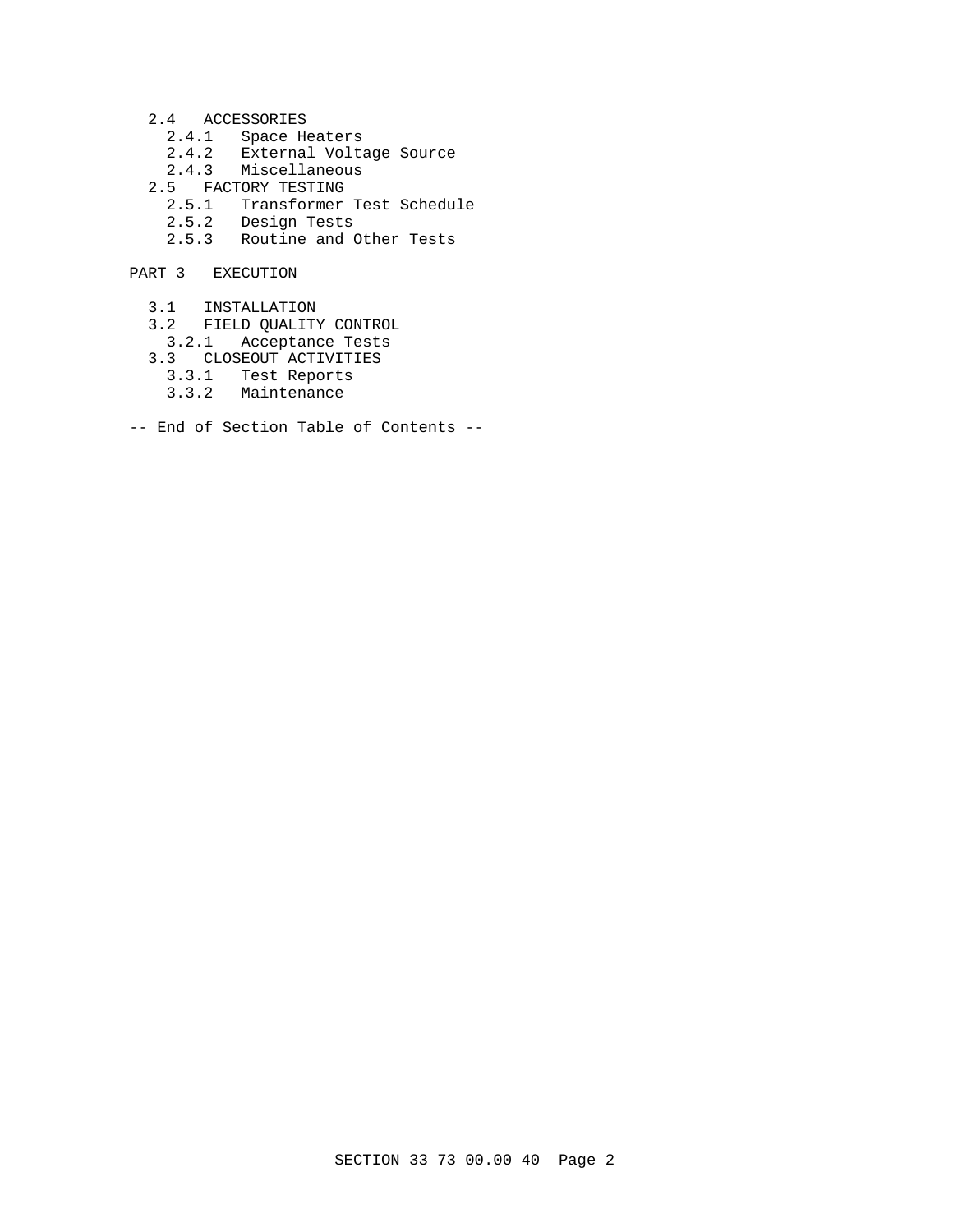- 2.4 ACCESSORIES
	- 2.4.1 Space Heaters
	- 2.4.2 External Voltage Source
	- 2.4.3 Miscellaneous
- 2.5 FACTORY TESTING
- 2.5.1 Transformer Test Schedule
- 2.5.2 Design Tests
	- 2.5.3 Routine and Other Tests
- PART 3 EXECUTION
	- 3.1 INSTALLATION
	- 3.2 FIELD QUALITY CONTROL
	- 3.2.1 Acceptance Tests
	- 3.3 CLOSEOUT ACTIVITIES
		- 3.3.1 Test Reports
		- 3.3.2 Maintenance
- -- End of Section Table of Contents --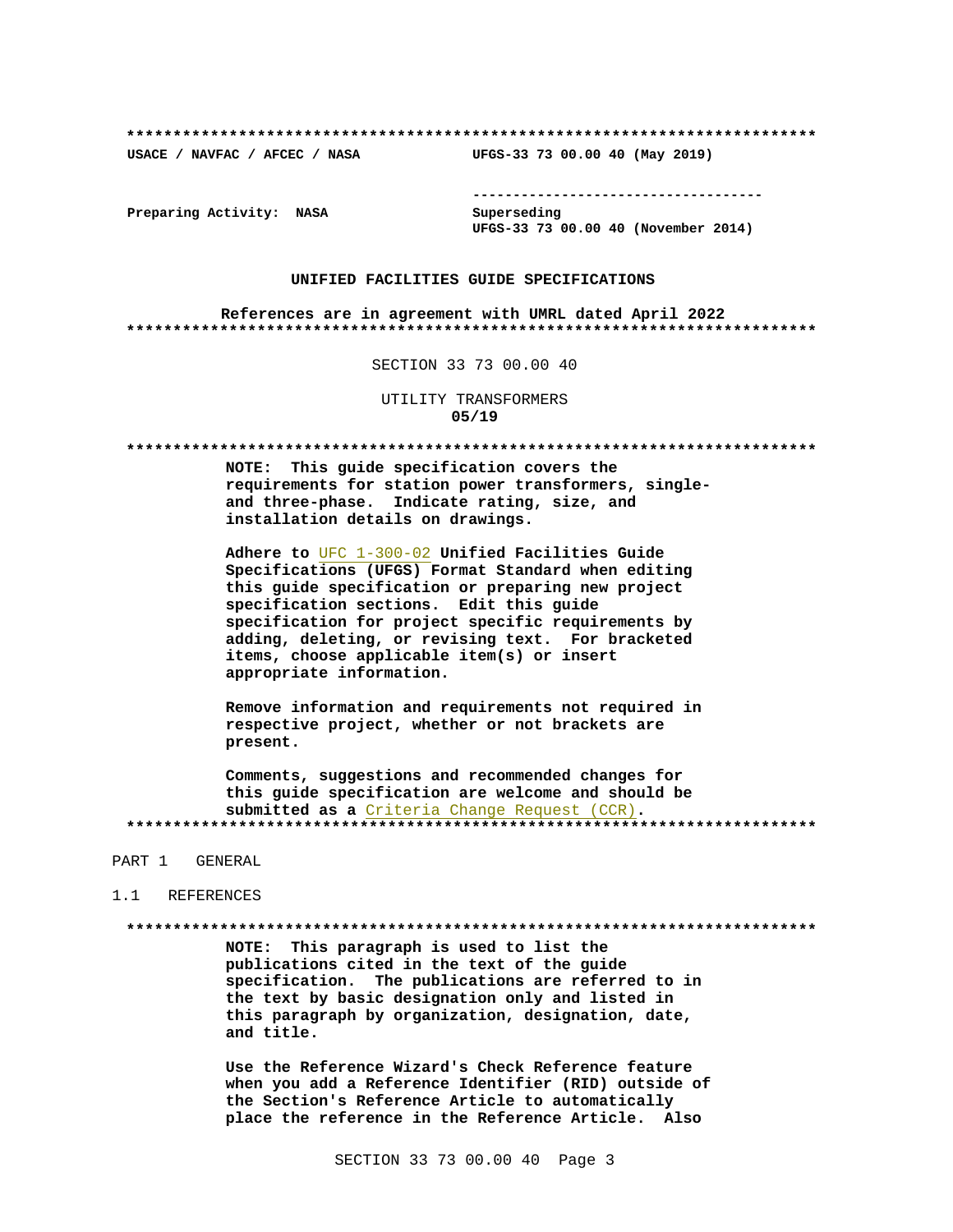USACE / NAVFAC / AFCEC / NASA

--------------------------------------

UFGS-33 73 00.00 40 (May 2019)

Preparing Activity: NASA

Superseding UFGS-33 73 00.00 40 (November 2014)

#### UNIFIED FACILITIES GUIDE SPECIFICATIONS

References are in agreement with UMRL dated April 2022 

SECTION 33 73 00.00 40

## UTILITY TRANSFORMERS  $05/19$

NOTE: This guide specification covers the requirements for station power transformers, singleand three-phase. Indicate rating, size, and installation details on drawings.

Adhere to UFC 1-300-02 Unified Facilities Guide Specifications (UFGS) Format Standard when editing this guide specification or preparing new project specification sections. Edit this guide specification for project specific requirements by adding, deleting, or revising text. For bracketed items, choose applicable item(s) or insert appropriate information.

Remove information and requirements not required in respective project, whether or not brackets are present.

Comments, suggestions and recommended changes for this guide specification are welcome and should be submitted as a Criteria Change Request (CCR). 

#### PART 1 GENERAL

#### 1.1 REFERENCES

NOTE: This paragraph is used to list the publications cited in the text of the guide specification. The publications are referred to in the text by basic designation only and listed in this paragraph by organization, designation, date, and title.

Use the Reference Wizard's Check Reference feature when you add a Reference Identifier (RID) outside of the Section's Reference Article to automatically place the reference in the Reference Article. Also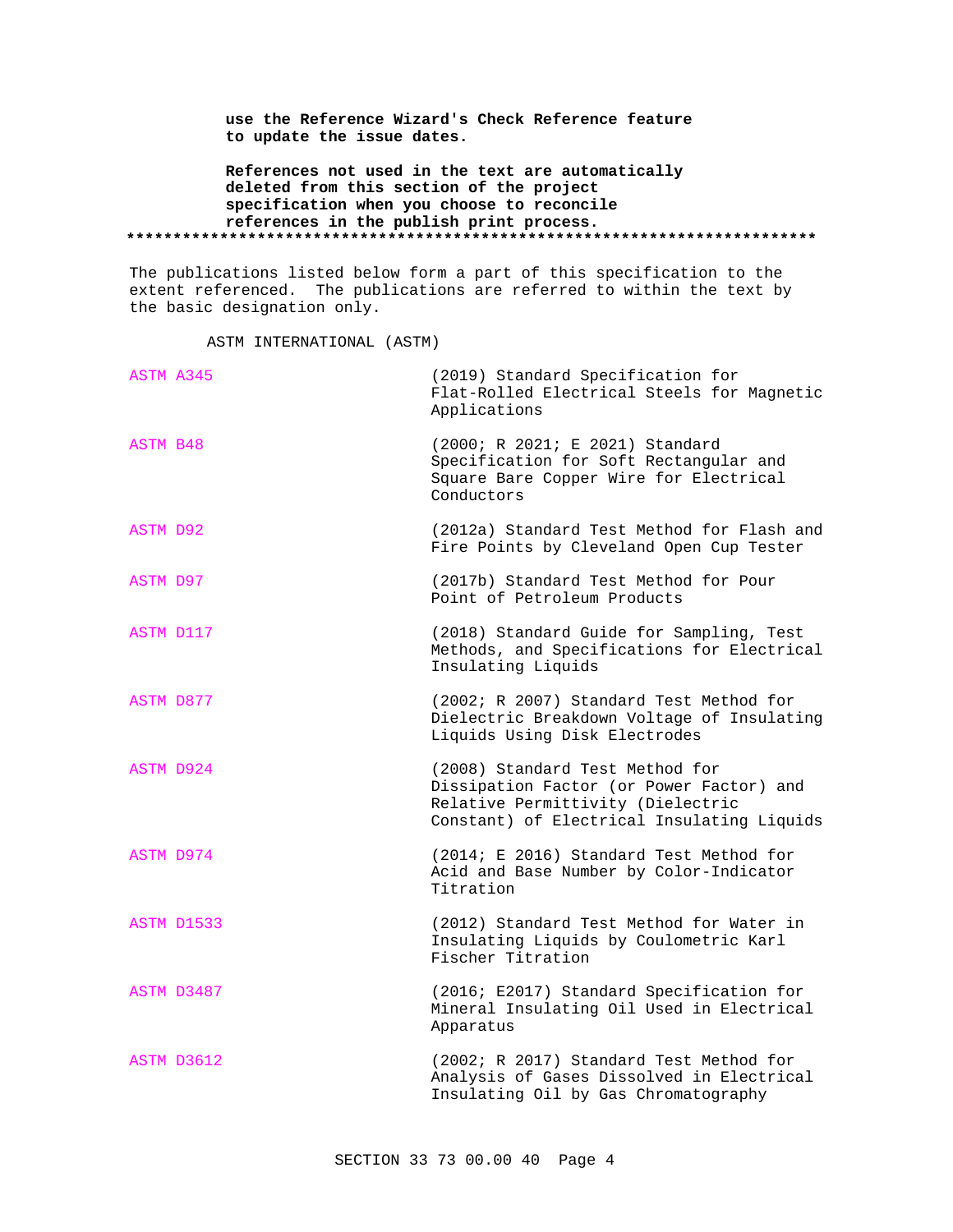**use the Reference Wizard's Check Reference feature to update the issue dates.**

**References not used in the text are automatically deleted from this section of the project specification when you choose to reconcile references in the publish print process. \*\*\*\*\*\*\*\*\*\*\*\*\*\*\*\*\*\*\*\*\*\*\*\*\*\*\*\*\*\*\*\*\*\*\*\*\*\*\*\*\*\*\*\*\*\*\*\*\*\*\*\*\*\*\*\*\*\*\*\*\*\*\*\*\*\*\*\*\*\*\*\*\*\***

The publications listed below form a part of this specification to the extent referenced. The publications are referred to within the text by the basic designation only.

ASTM INTERNATIONAL (ASTM)

| ASTM A345       | (2019) Standard Specification for<br>Flat-Rolled Electrical Steels for Magnetic<br>Applications                                                                |
|-----------------|----------------------------------------------------------------------------------------------------------------------------------------------------------------|
| ASTM B48        | (2000; R 2021; E 2021) Standard<br>Specification for Soft Rectangular and<br>Square Bare Copper Wire for Electrical<br>Conductors                              |
| <b>ASTM D92</b> | (2012a) Standard Test Method for Flash and<br>Fire Points by Cleveland Open Cup Tester                                                                         |
| <b>ASTM D97</b> | (2017b) Standard Test Method for Pour<br>Point of Petroleum Products                                                                                           |
| ASTM D117       | (2018) Standard Guide for Sampling, Test<br>Methods, and Specifications for Electrical<br>Insulating Liquids                                                   |
| ASTM D877       | (2002; R 2007) Standard Test Method for<br>Dielectric Breakdown Voltage of Insulating<br>Liquids Using Disk Electrodes                                         |
| ASTM D924       | (2008) Standard Test Method for<br>Dissipation Factor (or Power Factor) and<br>Relative Permittivity (Dielectric<br>Constant) of Electrical Insulating Liquids |
| ASTM D974       | (2014; E 2016) Standard Test Method for<br>Acid and Base Number by Color-Indicator<br>Titration                                                                |
| ASTM D1533      | (2012) Standard Test Method for Water in<br>Insulating Liquids by Coulometric Karl<br>Fischer Titration                                                        |
| ASTM D3487      | (2016; E2017) Standard Specification for<br>Mineral Insulating Oil Used in Electrical<br>Apparatus                                                             |
| ASTM D3612      | (2002; R 2017) Standard Test Method for<br>Analysis of Gases Dissolved in Electrical<br>Insulating Oil by Gas Chromatography                                   |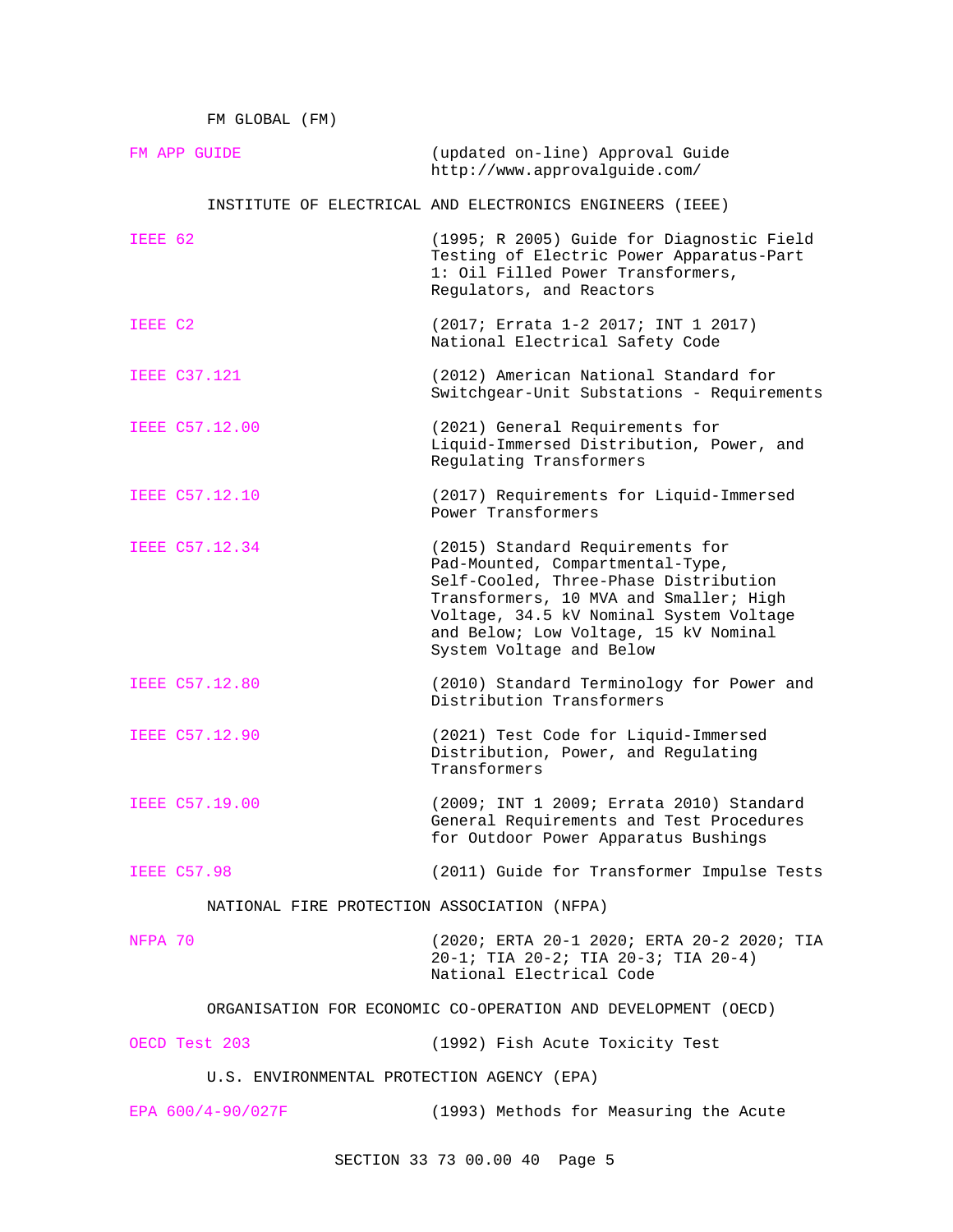FM GLOBAL (FM)

| FM APP GUIDE                                                  | (updated on-line) Approval Guide<br>http://www.approvalquide.com/                                                                                                                                                                                                       |
|---------------------------------------------------------------|-------------------------------------------------------------------------------------------------------------------------------------------------------------------------------------------------------------------------------------------------------------------------|
|                                                               | INSTITUTE OF ELECTRICAL AND ELECTRONICS ENGINEERS (IEEE)                                                                                                                                                                                                                |
| IEEE 62                                                       | (1995; R 2005) Guide for Diagnostic Field<br>Testing of Electric Power Apparatus-Part<br>1: Oil Filled Power Transformers,<br>Regulators, and Reactors                                                                                                                  |
| IEEE C2                                                       | (2017; Errata 1-2 2017; INT 1 2017)<br>National Electrical Safety Code                                                                                                                                                                                                  |
| <b>IEEE C37.121</b>                                           | (2012) American National Standard for<br>Switchgear-Unit Substations - Requirements                                                                                                                                                                                     |
| <b>IEEE C57.12.00</b>                                         | (2021) General Requirements for<br>Liquid-Immersed Distribution, Power, and<br>Regulating Transformers                                                                                                                                                                  |
| IEEE C57.12.10                                                | (2017) Requirements for Liquid-Immersed<br>Power Transformers                                                                                                                                                                                                           |
| IEEE C57.12.34                                                | (2015) Standard Requirements for<br>Pad-Mounted, Compartmental-Type,<br>Self-Cooled, Three-Phase Distribution<br>Transformers, 10 MVA and Smaller; High<br>Voltage, 34.5 kV Nominal System Voltage<br>and Below; Low Voltage, 15 kV Nominal<br>System Voltage and Below |
| <b>IEEE C57.12.80</b>                                         | (2010) Standard Terminology for Power and<br>Distribution Transformers                                                                                                                                                                                                  |
| IEEE C57.12.90                                                | (2021) Test Code for Liquid-Immersed<br>Distribution, Power, and Regulating<br>Transformers                                                                                                                                                                             |
| IEEE C57.19.00                                                | (2009; INT 1 2009; Errata 2010) Standard<br>General Requirements and Test Procedures<br>for Outdoor Power Apparatus Bushings                                                                                                                                            |
| <b>IEEE C57.98</b>                                            | (2011) Guide for Transformer Impulse Tests                                                                                                                                                                                                                              |
| NATIONAL FIRE PROTECTION ASSOCIATION (NFPA)                   |                                                                                                                                                                                                                                                                         |
| NFPA 70                                                       | (2020; ERTA 20-1 2020; ERTA 20-2 2020; TIA<br>20-1; TIA 20-2; TIA 20-3; TIA 20-4)<br>National Electrical Code                                                                                                                                                           |
| ORGANISATION FOR ECONOMIC CO-OPERATION AND DEVELOPMENT (OECD) |                                                                                                                                                                                                                                                                         |
| OECD Test 203                                                 | (1992) Fish Acute Toxicity Test                                                                                                                                                                                                                                         |
| U.S. ENVIRONMENTAL PROTECTION AGENCY (EPA)                    |                                                                                                                                                                                                                                                                         |
| EPA $600/4-90/027F$                                           | (1993) Methods for Measuring the Acute                                                                                                                                                                                                                                  |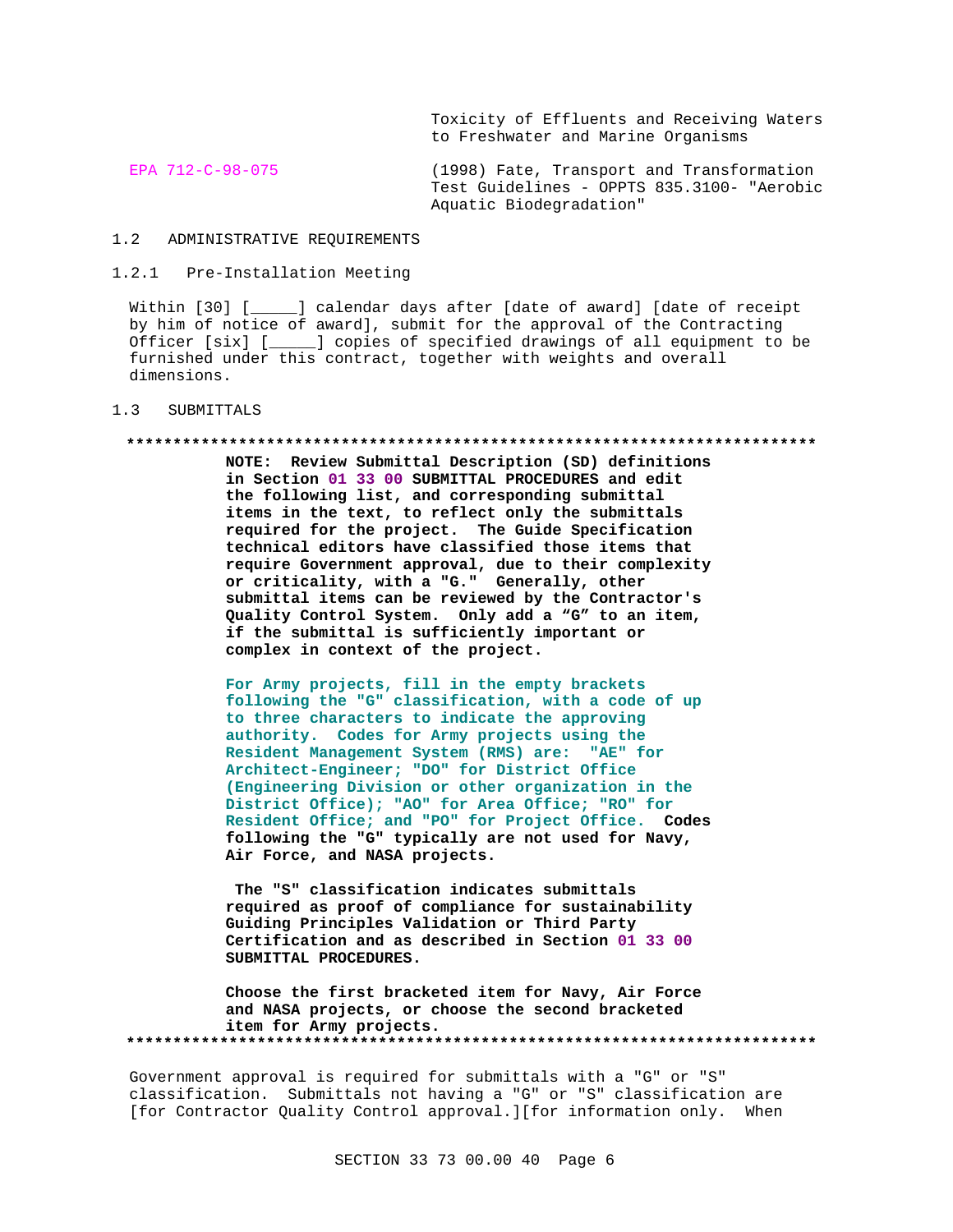Toxicity of Effluents and Receiving Waters to Freshwater and Marine Organisms

EPA 712-C-98-075 (1998) Fate, Transport and Transformation Test Guidelines - OPPTS 835.3100- "Aerobic Aquatic Biodegradation"

## 1.2 ADMINISTRATIVE REQUIREMENTS

## 1.2.1 Pre-Installation Meeting

Within [30] [\_\_\_\_\_] calendar days after [date of award] [date of receipt by him of notice of award], submit for the approval of the Contracting Officer [six] [\_\_\_\_\_] copies of specified drawings of all equipment to be furnished under this contract, together with weights and overall dimensions.

#### 1.3 SUBMITTALS

#### **\*\*\*\*\*\*\*\*\*\*\*\*\*\*\*\*\*\*\*\*\*\*\*\*\*\*\*\*\*\*\*\*\*\*\*\*\*\*\*\*\*\*\*\*\*\*\*\*\*\*\*\*\*\*\*\*\*\*\*\*\*\*\*\*\*\*\*\*\*\*\*\*\*\***

**NOTE: Review Submittal Description (SD) definitions in Section 01 33 00 SUBMITTAL PROCEDURES and edit the following list, and corresponding submittal items in the text, to reflect only the submittals required for the project. The Guide Specification technical editors have classified those items that require Government approval, due to their complexity or criticality, with a "G." Generally, other submittal items can be reviewed by the Contractor's Quality Control System. Only add a "G" to an item, if the submittal is sufficiently important or complex in context of the project.**

**For Army projects, fill in the empty brackets following the "G" classification, with a code of up to three characters to indicate the approving authority. Codes for Army projects using the Resident Management System (RMS) are: "AE" for Architect-Engineer; "DO" for District Office (Engineering Division or other organization in the District Office); "AO" for Area Office; "RO" for Resident Office; and "PO" for Project Office. Codes following the "G" typically are not used for Navy, Air Force, and NASA projects.**

**The "S" classification indicates submittals required as proof of compliance for sustainability Guiding Principles Validation or Third Party Certification and as described in Section 01 33 00 SUBMITTAL PROCEDURES.**

**Choose the first bracketed item for Navy, Air Force and NASA projects, or choose the second bracketed item for Army projects. \*\*\*\*\*\*\*\*\*\*\*\*\*\*\*\*\*\*\*\*\*\*\*\*\*\*\*\*\*\*\*\*\*\*\*\*\*\*\*\*\*\*\*\*\*\*\*\*\*\*\*\*\*\*\*\*\*\*\*\*\*\*\*\*\*\*\*\*\*\*\*\*\*\***

Government approval is required for submittals with a "G" or "S" classification. Submittals not having a "G" or "S" classification are [for Contractor Quality Control approval.][for information only. When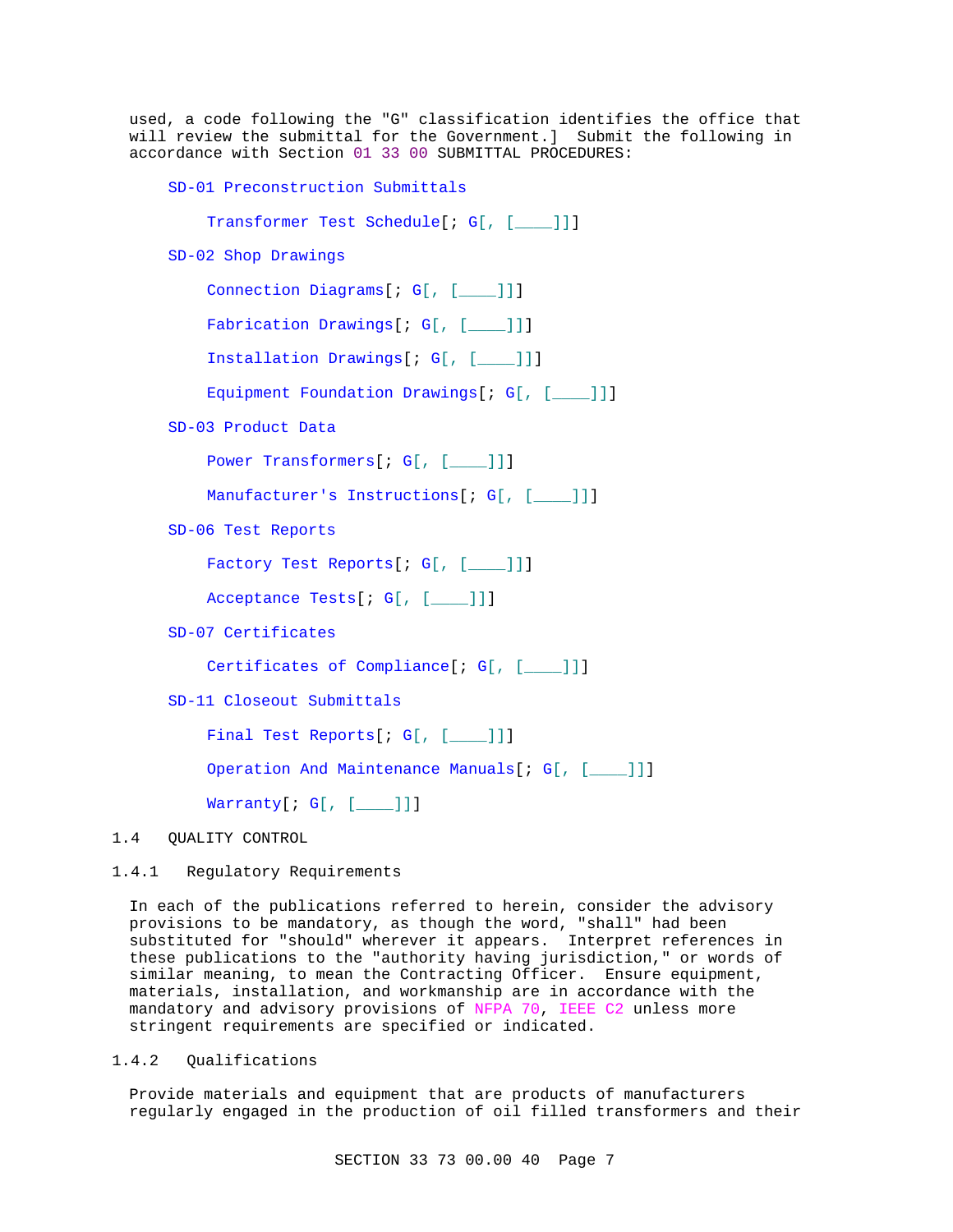used, a code following the "G" classification identifies the office that will review the submittal for the Government.] Submit the following in accordance with Section 01 33 00 SUBMITTAL PROCEDURES:

SD-01 Preconstruction Submittals

Transformer Test Schedule[; G[, [\_\_\_\_]]]

SD-02 Shop Drawings

Connection Diagrams[; G[, [\_\_\_\_]]]

Fabrication Drawings[; G[, [\_\_\_ ]]]

Installation Drawings[; G[, [\_\_\_\_]]]

Equipment Foundation Drawings[; G[, [\_\_\_]]]

SD-03 Product Data

Power Transformers[; G[, [\_\_\_]]]

Manufacturer's Instructions[; G[, [\_\_\_]]]

SD-06 Test Reports

Factory Test Reports[; G[, [\_\_\_]]]

Acceptance Tests[; G[, [\_\_\_\_]]]

SD-07 Certificates

Certificates of Compliance[; G[, [\_\_\_\_]]]

SD-11 Closeout Submittals

Final Test Reports[; G[, [\_\_\_]]]

Operation And Maintenance Manuals[; G[, [\_\_\_]]]

Warranty[; G[, [\_\_\_\_]]]

## 1.4 QUALITY CONTROL

## 1.4.1 Regulatory Requirements

In each of the publications referred to herein, consider the advisory provisions to be mandatory, as though the word, "shall" had been substituted for "should" wherever it appears. Interpret references in these publications to the "authority having jurisdiction," or words of similar meaning, to mean the Contracting Officer. Ensure equipment, materials, installation, and workmanship are in accordance with the mandatory and advisory provisions of NFPA 70, IEEE C2 unless more stringent requirements are specified or indicated.

## 1.4.2 Qualifications

Provide materials and equipment that are products of manufacturers regularly engaged in the production of oil filled transformers and their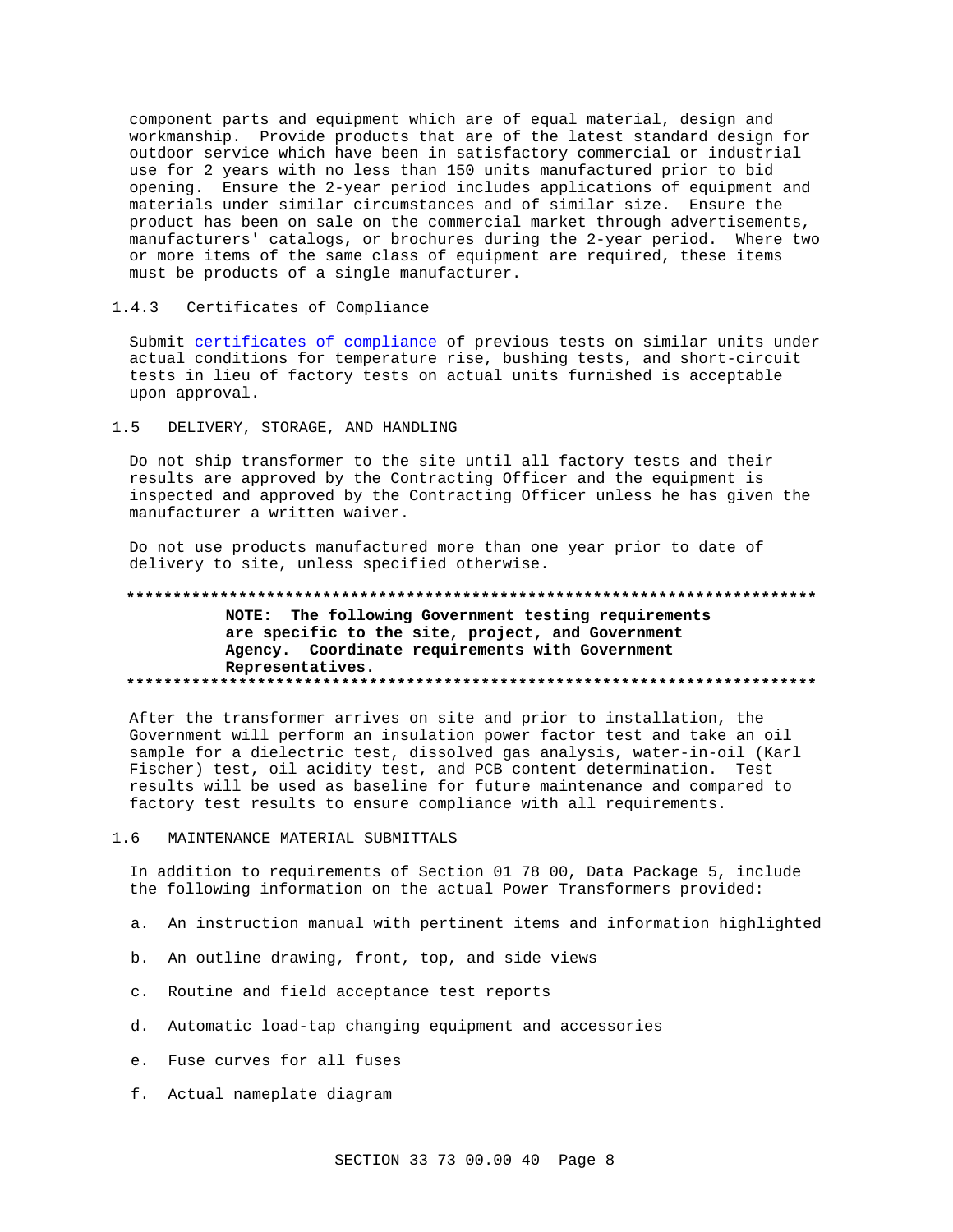component parts and equipment which are of equal material, design and workmanship. Provide products that are of the latest standard design for outdoor service which have been in satisfactory commercial or industrial use for 2 years with no less than 150 units manufactured prior to bid opening. Ensure the 2-year period includes applications of equipment and materials under similar circumstances and of similar size. Ensure the product has been on sale on the commercial market through advertisements, manufacturers' catalogs, or brochures during the 2-year period. Where two or more items of the same class of equipment are required, these items must be products of a single manufacturer.

#### $1.4.3$ Certificates of Compliance

Submit certificates of compliance of previous tests on similar units under actual conditions for temperature rise, bushing tests, and short-circuit tests in lieu of factory tests on actual units furnished is acceptable upon approval.

#### DELIVERY, STORAGE, AND HANDLING  $1.5$

Do not ship transformer to the site until all factory tests and their results are approved by the Contracting Officer and the equipment is inspected and approved by the Contracting Officer unless he has given the manufacturer a written waiver.

Do not use products manufactured more than one year prior to date of delivery to site, unless specified otherwise.

#### 

## NOTE: The following Government testing requirements are specific to the site, project, and Government Agency. Coordinate requirements with Government Representatives.

After the transformer arrives on site and prior to installation, the Government will perform an insulation power factor test and take an oil sample for a dielectric test, dissolved gas analysis, water-in-oil (Karl Fischer) test, oil acidity test, and PCB content determination. Test results will be used as baseline for future maintenance and compared to factory test results to ensure compliance with all requirements.

#### $1.6$ MAINTENANCE MATERIAL SUBMITTALS

In addition to requirements of Section 01 78 00, Data Package 5, include the following information on the actual Power Transformers provided:

- a. An instruction manual with pertinent items and information highlighted
- b. An outline drawing, front, top, and side views
- c. Routine and field acceptance test reports
- d. Automatic load-tap changing equipment and accessories
- e. Fuse curves for all fuses
- f. Actual nameplate diagram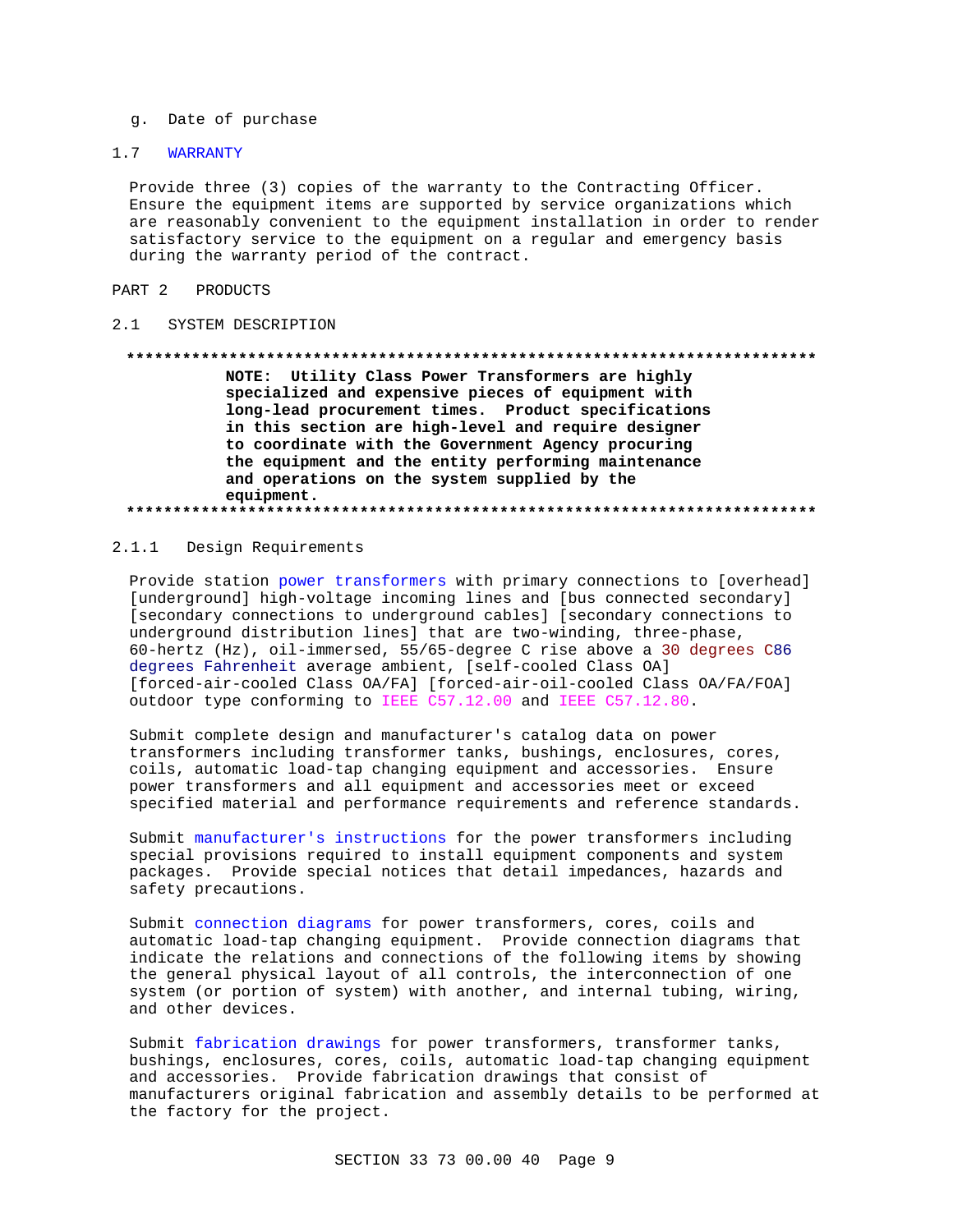g. Date of purchase

## 1.7 WARRANTY

Provide three (3) copies of the warranty to the Contracting Officer. Ensure the equipment items are supported by service organizations which are reasonably convenient to the equipment installation in order to render satisfactory service to the equipment on a regular and emergency basis during the warranty period of the contract.

#### PART 2 PRODUCTS

#### 2.1 SYSTEM DESCRIPTION

#### **\*\*\*\*\*\*\*\*\*\*\*\*\*\*\*\*\*\*\*\*\*\*\*\*\*\*\*\*\*\*\*\*\*\*\*\*\*\*\*\*\*\*\*\*\*\*\*\*\*\*\*\*\*\*\*\*\*\*\*\*\*\*\*\*\*\*\*\*\*\*\*\*\*\***

**NOTE: Utility Class Power Transformers are highly specialized and expensive pieces of equipment with long-lead procurement times. Product specifications in this section are high-level and require designer to coordinate with the Government Agency procuring the equipment and the entity performing maintenance and operations on the system supplied by the equipment. \*\*\*\*\*\*\*\*\*\*\*\*\*\*\*\*\*\*\*\*\*\*\*\*\*\*\*\*\*\*\*\*\*\*\*\*\*\*\*\*\*\*\*\*\*\*\*\*\*\*\*\*\*\*\*\*\*\*\*\*\*\*\*\*\*\*\*\*\*\*\*\*\*\***

## 2.1.1 Design Requirements

Provide station power transformers with primary connections to [overhead] [underground] high-voltage incoming lines and [bus connected secondary] [secondary connections to underground cables] [secondary connections to underground distribution lines] that are two-winding, three-phase, 60-hertz (Hz), oil-immersed, 55/65-degree C rise above a 30 degrees C86 degrees Fahrenheit average ambient, [self-cooled Class OA] [forced-air-cooled Class OA/FA] [forced-air-oil-cooled Class OA/FA/FOA] outdoor type conforming to IEEE C57.12.00 and IEEE C57.12.80.

Submit complete design and manufacturer's catalog data on power transformers including transformer tanks, bushings, enclosures, cores, coils, automatic load-tap changing equipment and accessories. Ensure power transformers and all equipment and accessories meet or exceed specified material and performance requirements and reference standards.

Submit manufacturer's instructions for the power transformers including special provisions required to install equipment components and system packages. Provide special notices that detail impedances, hazards and safety precautions.

Submit connection diagrams for power transformers, cores, coils and automatic load-tap changing equipment. Provide connection diagrams that indicate the relations and connections of the following items by showing the general physical layout of all controls, the interconnection of one system (or portion of system) with another, and internal tubing, wiring, and other devices.

Submit fabrication drawings for power transformers, transformer tanks, bushings, enclosures, cores, coils, automatic load-tap changing equipment and accessories. Provide fabrication drawings that consist of manufacturers original fabrication and assembly details to be performed at the factory for the project.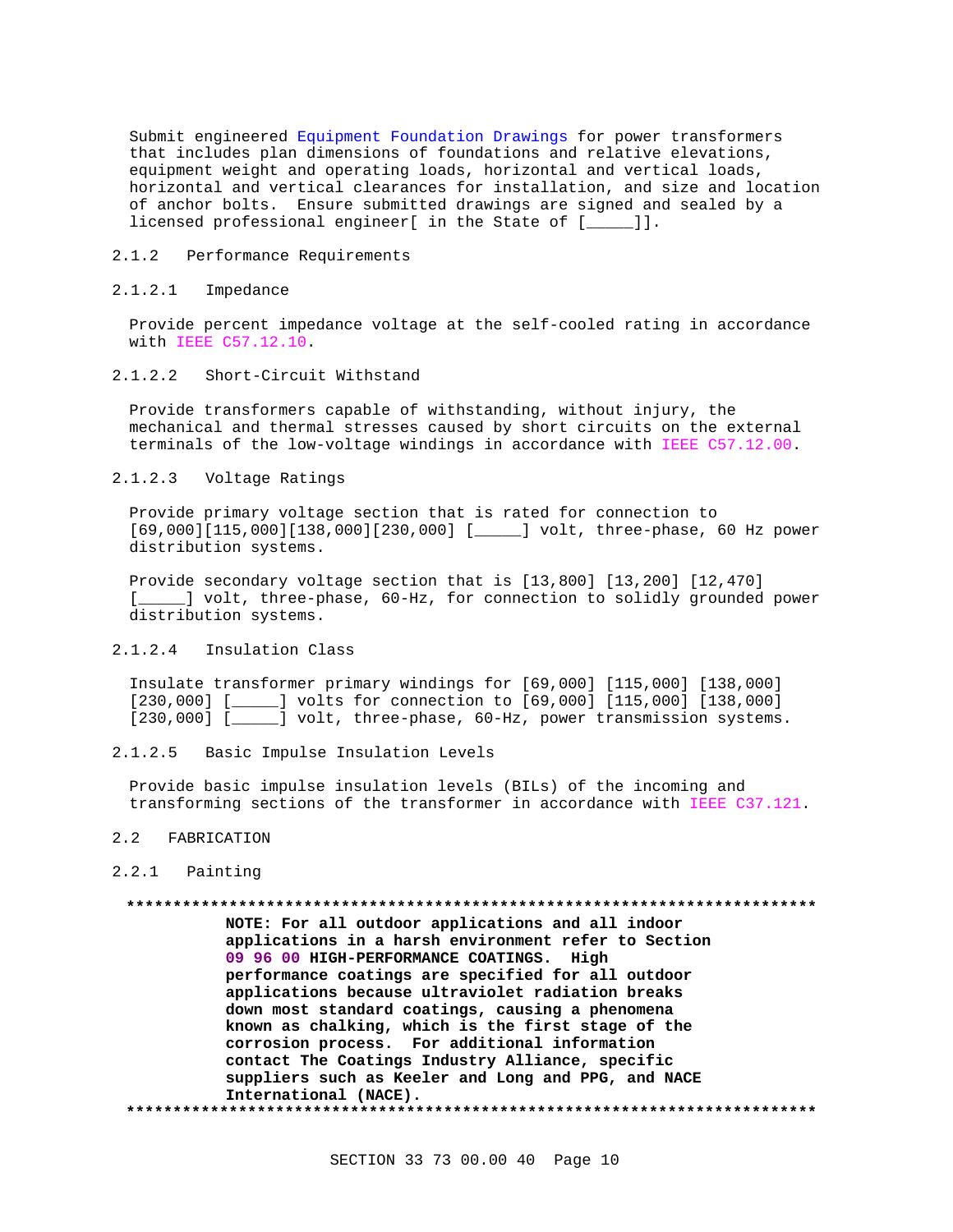Submit engineered Equipment Foundation Drawings for power transformers that includes plan dimensions of foundations and relative elevations, equipment weight and operating loads, horizontal and vertical loads, horizontal and vertical clearances for installation, and size and location of anchor bolts. Ensure submitted drawings are signed and sealed by a licensed professional engineer[ in the State of [\_\_\_\_\_]].

## 2.1.2 Performance Requirements

## 2.1.2.1 Impedance

Provide percent impedance voltage at the self-cooled rating in accordance with IEEE C57.12.10.

# 2.1.2.2 Short-Circuit Withstand

Provide transformers capable of withstanding, without injury, the mechanical and thermal stresses caused by short circuits on the external terminals of the low-voltage windings in accordance with IEEE C57.12.00.

## 2.1.2.3 Voltage Ratings

Provide primary voltage section that is rated for connection to [69,000][115,000][138,000][230,000] [\_\_\_\_\_] volt, three-phase, 60 Hz power distribution systems.

Provide secondary voltage section that is [13,800] [13,200] [12,470] [ $\_\_\_\$ ] volt, three-phase, 60-Hz, for connection to solidly grounded power distribution systems.

## 2.1.2.4 Insulation Class

Insulate transformer primary windings for [69,000] [115,000] [138,000] [230,000] [\_\_\_\_\_] volts for connection to [69,000] [115,000] [138,000] [230,000] [\_\_\_\_\_] volt, three-phase, 60-Hz, power transmission systems.

## 2.1.2.5 Basic Impulse Insulation Levels

Provide basic impulse insulation levels (BILs) of the incoming and transforming sections of the transformer in accordance with IEEE C37.121.

### 2.2 FABRICATION

#### 2.2.1 Painting

## **\*\*\*\*\*\*\*\*\*\*\*\*\*\*\*\*\*\*\*\*\*\*\*\*\*\*\*\*\*\*\*\*\*\*\*\*\*\*\*\*\*\*\*\*\*\*\*\*\*\*\*\*\*\*\*\*\*\*\*\*\*\*\*\*\*\*\*\*\*\*\*\*\*\* NOTE: For all outdoor applications and all indoor**

**applications in a harsh environment refer to Section 09 96 00 HIGH-PERFORMANCE COATINGS. High performance coatings are specified for all outdoor applications because ultraviolet radiation breaks down most standard coatings, causing a phenomena known as chalking, which is the first stage of the corrosion process. For additional information contact The Coatings Industry Alliance, specific suppliers such as Keeler and Long and PPG, and NACE International (NACE). \*\*\*\*\*\*\*\*\*\*\*\*\*\*\*\*\*\*\*\*\*\*\*\*\*\*\*\*\*\*\*\*\*\*\*\*\*\*\*\*\*\*\*\*\*\*\*\*\*\*\*\*\*\*\*\*\*\*\*\*\*\*\*\*\*\*\*\*\*\*\*\*\*\***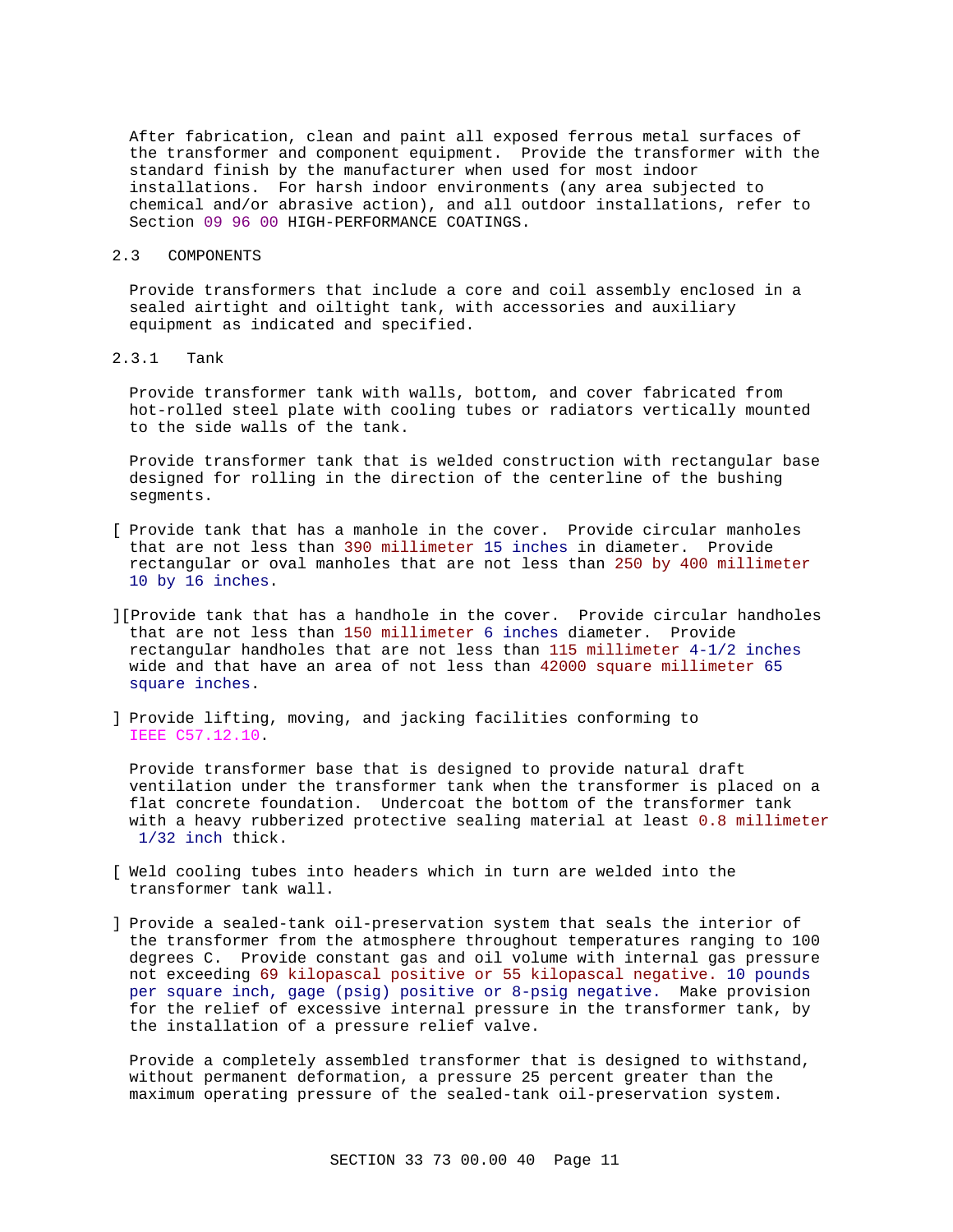After fabrication, clean and paint all exposed ferrous metal surfaces of the transformer and component equipment. Provide the transformer with the standard finish by the manufacturer when used for most indoor installations. For harsh indoor environments (any area subjected to chemical and/or abrasive action), and all outdoor installations, refer to Section 09 96 00 HIGH-PERFORMANCE COATINGS.

# 2.3 COMPONENTS

Provide transformers that include a core and coil assembly enclosed in a sealed airtight and oiltight tank, with accessories and auxiliary equipment as indicated and specified.

# 2.3.1 Tank

Provide transformer tank with walls, bottom, and cover fabricated from hot-rolled steel plate with cooling tubes or radiators vertically mounted to the side walls of the tank.

Provide transformer tank that is welded construction with rectangular base designed for rolling in the direction of the centerline of the bushing segments.

- [ Provide tank that has a manhole in the cover. Provide circular manholes that are not less than 390 millimeter 15 inches in diameter. Provide rectangular or oval manholes that are not less than 250 by 400 millimeter 10 by 16 inches.
- ][Provide tank that has a handhole in the cover. Provide circular handholes that are not less than 150 millimeter 6 inches diameter. Provide rectangular handholes that are not less than 115 millimeter 4-1/2 inches wide and that have an area of not less than 42000 square millimeter 65 square inches.
- ] Provide lifting, moving, and jacking facilities conforming to IEEE C57.12.10.

Provide transformer base that is designed to provide natural draft ventilation under the transformer tank when the transformer is placed on a flat concrete foundation. Undercoat the bottom of the transformer tank with a heavy rubberized protective sealing material at least 0.8 millimeter 1/32 inch thick.

- [ Weld cooling tubes into headers which in turn are welded into the transformer tank wall.
- ] Provide a sealed-tank oil-preservation system that seals the interior of the transformer from the atmosphere throughout temperatures ranging to 100 degrees C. Provide constant gas and oil volume with internal gas pressure not exceeding 69 kilopascal positive or 55 kilopascal negative. 10 pounds per square inch, gage (psig) positive or 8-psig negative. Make provision for the relief of excessive internal pressure in the transformer tank, by the installation of a pressure relief valve.

Provide a completely assembled transformer that is designed to withstand, without permanent deformation, a pressure 25 percent greater than the maximum operating pressure of the sealed-tank oil-preservation system.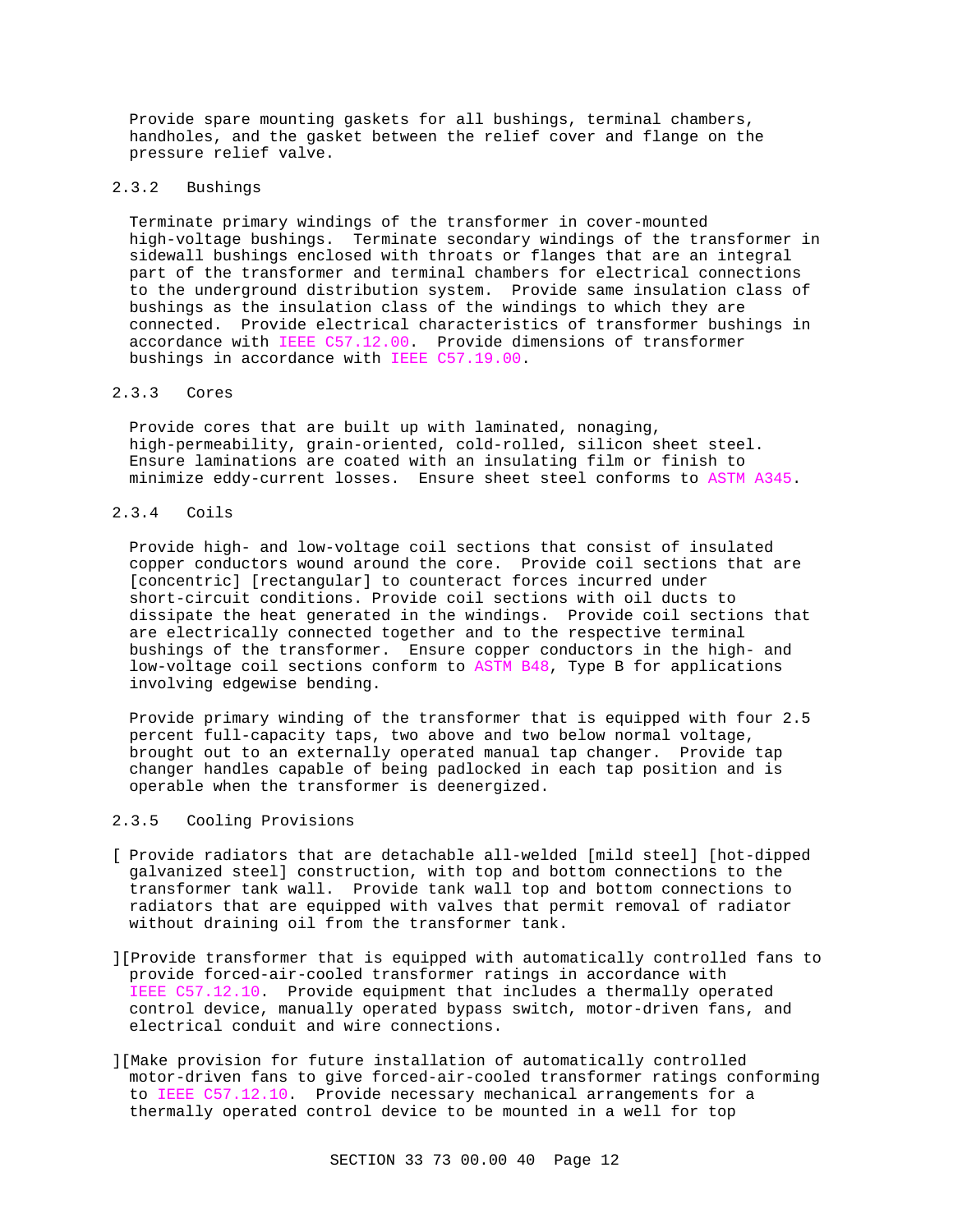Provide spare mounting gaskets for all bushings, terminal chambers, handholes, and the gasket between the relief cover and flange on the pressure relief valve.

# 2.3.2 Bushings

Terminate primary windings of the transformer in cover-mounted high-voltage bushings. Terminate secondary windings of the transformer in sidewall bushings enclosed with throats or flanges that are an integral part of the transformer and terminal chambers for electrical connections to the underground distribution system. Provide same insulation class of bushings as the insulation class of the windings to which they are connected. Provide electrical characteristics of transformer bushings in accordance with IEEE C57.12.00. Provide dimensions of transformer bushings in accordance with IEEE C57.19.00.

## 2.3.3 Cores

Provide cores that are built up with laminated, nonaging, high-permeability, grain-oriented, cold-rolled, silicon sheet steel. Ensure laminations are coated with an insulating film or finish to minimize eddy-current losses. Ensure sheet steel conforms to ASTM A345.

## 2.3.4 Coils

Provide high- and low-voltage coil sections that consist of insulated copper conductors wound around the core. Provide coil sections that are [concentric] [rectangular] to counteract forces incurred under short-circuit conditions. Provide coil sections with oil ducts to dissipate the heat generated in the windings. Provide coil sections that are electrically connected together and to the respective terminal bushings of the transformer. Ensure copper conductors in the high- and low-voltage coil sections conform to ASTM B48, Type B for applications involving edgewise bending.

Provide primary winding of the transformer that is equipped with four 2.5 percent full-capacity taps, two above and two below normal voltage, brought out to an externally operated manual tap changer. Provide tap changer handles capable of being padlocked in each tap position and is operable when the transformer is deenergized.

## 2.3.5 Cooling Provisions

- [ Provide radiators that are detachable all-welded [mild steel] [hot-dipped galvanized steel] construction, with top and bottom connections to the transformer tank wall. Provide tank wall top and bottom connections to radiators that are equipped with valves that permit removal of radiator without draining oil from the transformer tank.
- ][Provide transformer that is equipped with automatically controlled fans to provide forced-air-cooled transformer ratings in accordance with IEEE C57.12.10. Provide equipment that includes a thermally operated control device, manually operated bypass switch, motor-driven fans, and electrical conduit and wire connections.
- ][Make provision for future installation of automatically controlled motor-driven fans to give forced-air-cooled transformer ratings conforming to IEEE C57.12.10. Provide necessary mechanical arrangements for a thermally operated control device to be mounted in a well for top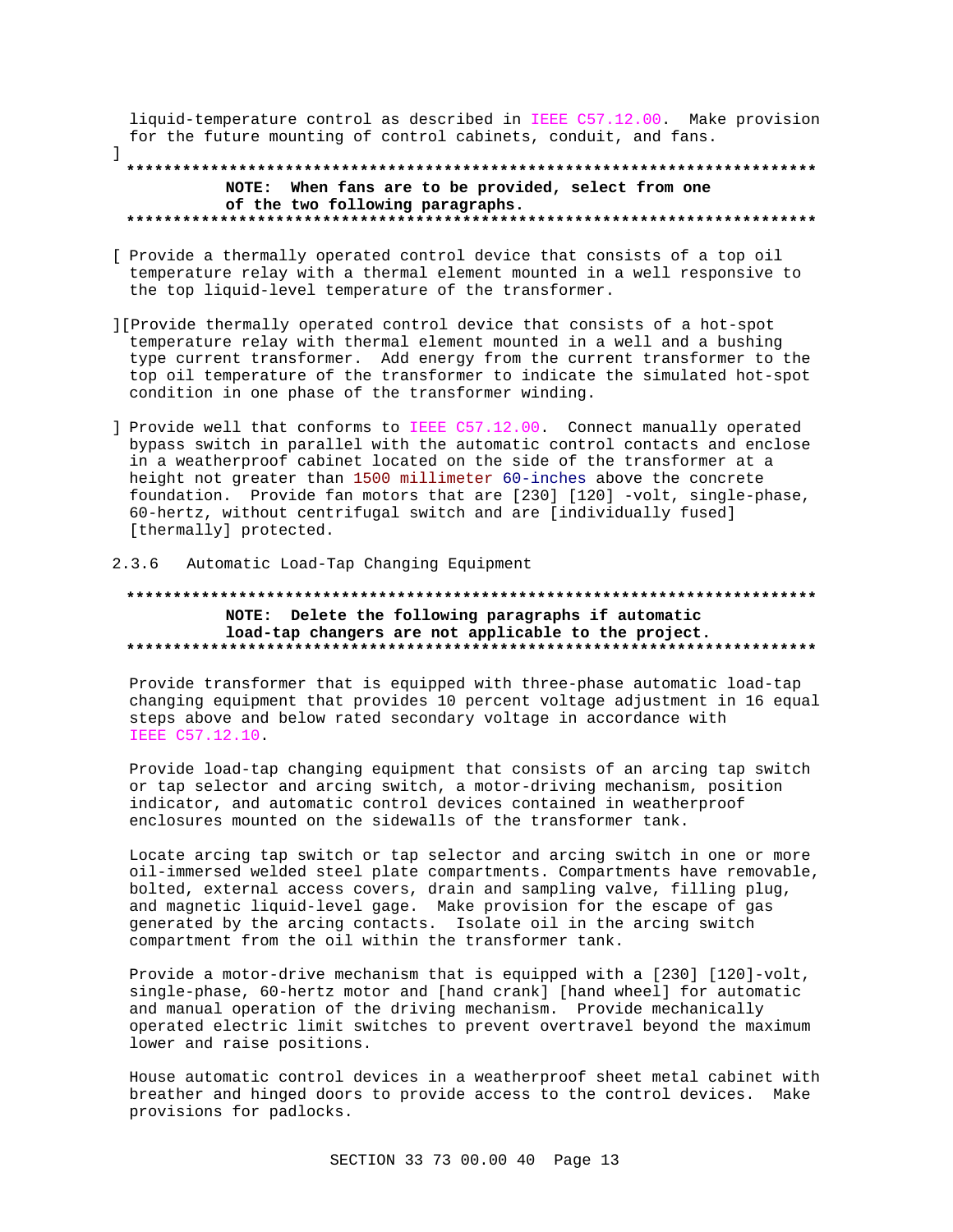liquid-temperature control as described in IEEE C57.12.00. Make provision for the future mounting of control cabinets, conduit, and fans.

# NOTE: When fans are to be provided, select from one of the two following paragraphs.

- [ Provide a thermally operated control device that consists of a top oil temperature relay with a thermal element mounted in a well responsive to the top liquid-level temperature of the transformer.
- [[Provide thermally operated control device that consists of a hot-spot] temperature relay with thermal element mounted in a well and a bushing type current transformer. Add energy from the current transformer to the top oil temperature of the transformer to indicate the simulated hot-spot condition in one phase of the transformer winding.
- ] Provide well that conforms to IEEE C57.12.00. Connect manually operated bypass switch in parallel with the automatic control contacts and enclose in a weatherproof cabinet located on the side of the transformer at a height not greater than 1500 millimeter 60-inches above the concrete foundation. Provide fan motors that are [230] [120] -volt, single-phase, 60-hertz, without centrifugal switch and are [individually fused] [thermally] protected.

### 2.3.6 Automatic Load-Tap Changing Equipment

 $\mathbf{I}$ 

# NOTE: Delete the following paragraphs if automatic load-tap changers are not applicable to the project.

Provide transformer that is equipped with three-phase automatic load-tap changing equipment that provides 10 percent voltage adjustment in 16 equal steps above and below rated secondary voltage in accordance with IEEE C57.12.10

Provide load-tap changing equipment that consists of an arcing tap switch or tap selector and arcing switch, a motor-driving mechanism, position indicator, and automatic control devices contained in weatherproof enclosures mounted on the sidewalls of the transformer tank.

Locate arcing tap switch or tap selector and arcing switch in one or more oil-immersed welded steel plate compartments. Compartments have removable, bolted, external access covers, drain and sampling valve, filling plug, and magnetic liquid-level gage. Make provision for the escape of gas generated by the arcing contacts. Isolate oil in the arcing switch compartment from the oil within the transformer tank.

Provide a motor-drive mechanism that is equipped with a [230] [120]-volt, single-phase, 60-hertz motor and [hand crank] [hand wheel] for automatic and manual operation of the driving mechanism. Provide mechanically operated electric limit switches to prevent overtravel beyond the maximum lower and raise positions.

House automatic control devices in a weatherproof sheet metal cabinet with breather and hinged doors to provide access to the control devices. Make provisions for padlocks.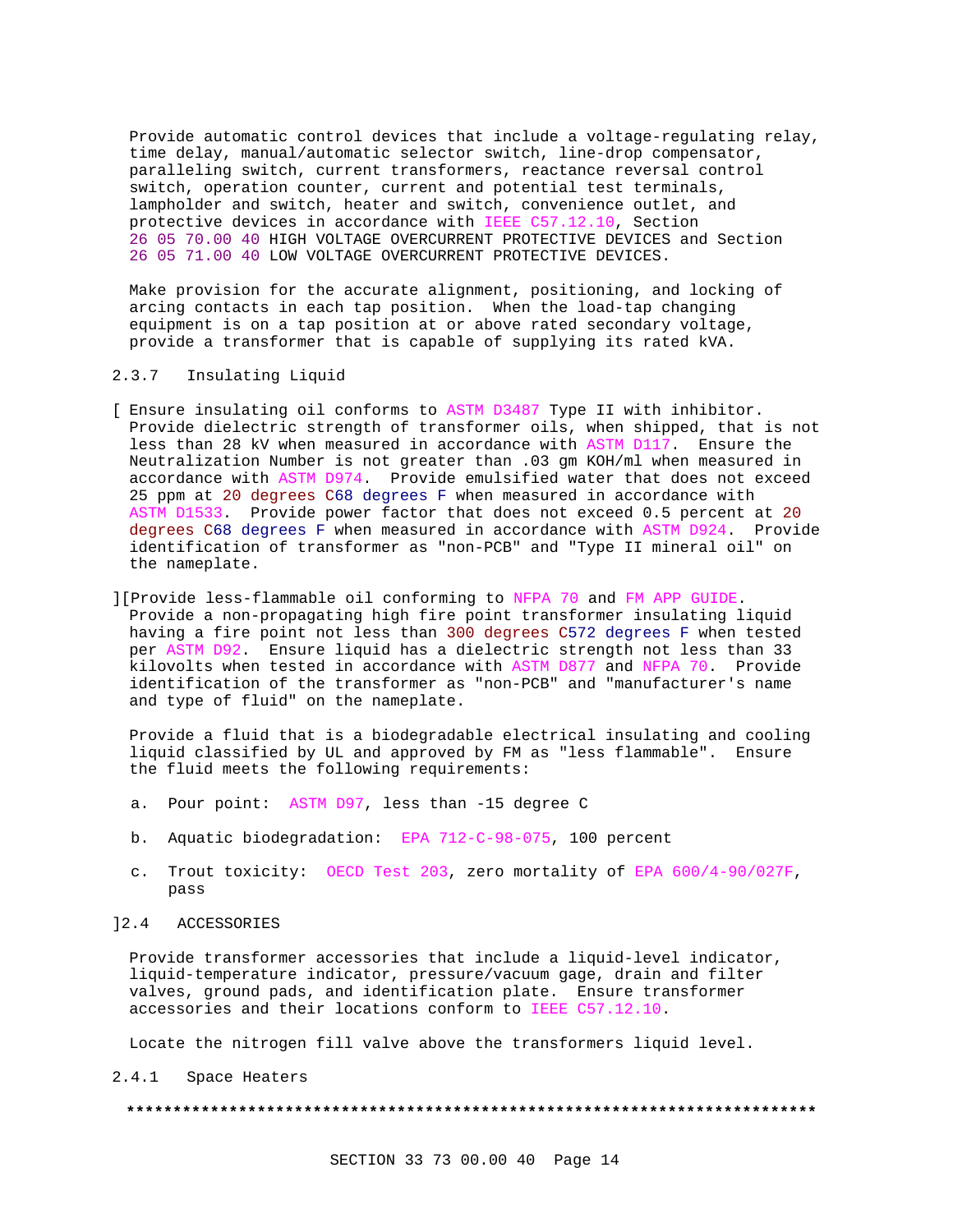Provide automatic control devices that include a voltage-regulating relay, time delay, manual/automatic selector switch, line-drop compensator, paralleling switch, current transformers, reactance reversal control switch, operation counter, current and potential test terminals, lampholder and switch, heater and switch, convenience outlet, and protective devices in accordance with IEEE C57.12.10, Section 26 05 70.00 40 HIGH VOLTAGE OVERCURRENT PROTECTIVE DEVICES and Section 26 05 71.00 40 LOW VOLTAGE OVERCURRENT PROTECTIVE DEVICES.

Make provision for the accurate alignment, positioning, and locking of arcing contacts in each tap position. When the load-tap changing equipment is on a tap position at or above rated secondary voltage, provide a transformer that is capable of supplying its rated kVA.

## 2.3.7 Insulating Liquid

- [ Ensure insulating oil conforms to ASTM D3487 Type II with inhibitor. Provide dielectric strength of transformer oils, when shipped, that is not less than 28 kV when measured in accordance with ASTM D117. Ensure the Neutralization Number is not greater than .03 gm KOH/ml when measured in accordance with ASTM D974. Provide emulsified water that does not exceed 25 ppm at 20 degrees C68 degrees F when measured in accordance with ASTM D1533. Provide power factor that does not exceed 0.5 percent at 20 degrees C68 degrees F when measured in accordance with ASTM D924. Provide identification of transformer as "non-PCB" and "Type II mineral oil" on the nameplate.
- ][Provide less-flammable oil conforming to NFPA 70 and FM APP GUIDE. Provide a non-propagating high fire point transformer insulating liquid having a fire point not less than 300 degrees C572 degrees F when tested per ASTM D92. Ensure liquid has a dielectric strength not less than 33 kilovolts when tested in accordance with ASTM D877 and NFPA 70. Provide identification of the transformer as "non-PCB" and "manufacturer's name and type of fluid" on the nameplate.

Provide a fluid that is a biodegradable electrical insulating and cooling liquid classified by UL and approved by FM as "less flammable". Ensure the fluid meets the following requirements:

- a. Pour point: ASTM D97, less than -15 degree C
- b. Aquatic biodegradation: EPA 712-C-98-075, 100 percent
- c. Trout toxicity: OECD Test 203, zero mortality of EPA 600/4-90/027F, pass

## ]2.4 ACCESSORIES

Provide transformer accessories that include a liquid-level indicator, liquid-temperature indicator, pressure/vacuum gage, drain and filter valves, ground pads, and identification plate. Ensure transformer accessories and their locations conform to IEEE C57.12.10.

Locate the nitrogen fill valve above the transformers liquid level.

2.4.1 Space Heaters

#### **\*\*\*\*\*\*\*\*\*\*\*\*\*\*\*\*\*\*\*\*\*\*\*\*\*\*\*\*\*\*\*\*\*\*\*\*\*\*\*\*\*\*\*\*\*\*\*\*\*\*\*\*\*\*\*\*\*\*\*\*\*\*\*\*\*\*\*\*\*\*\*\*\*\***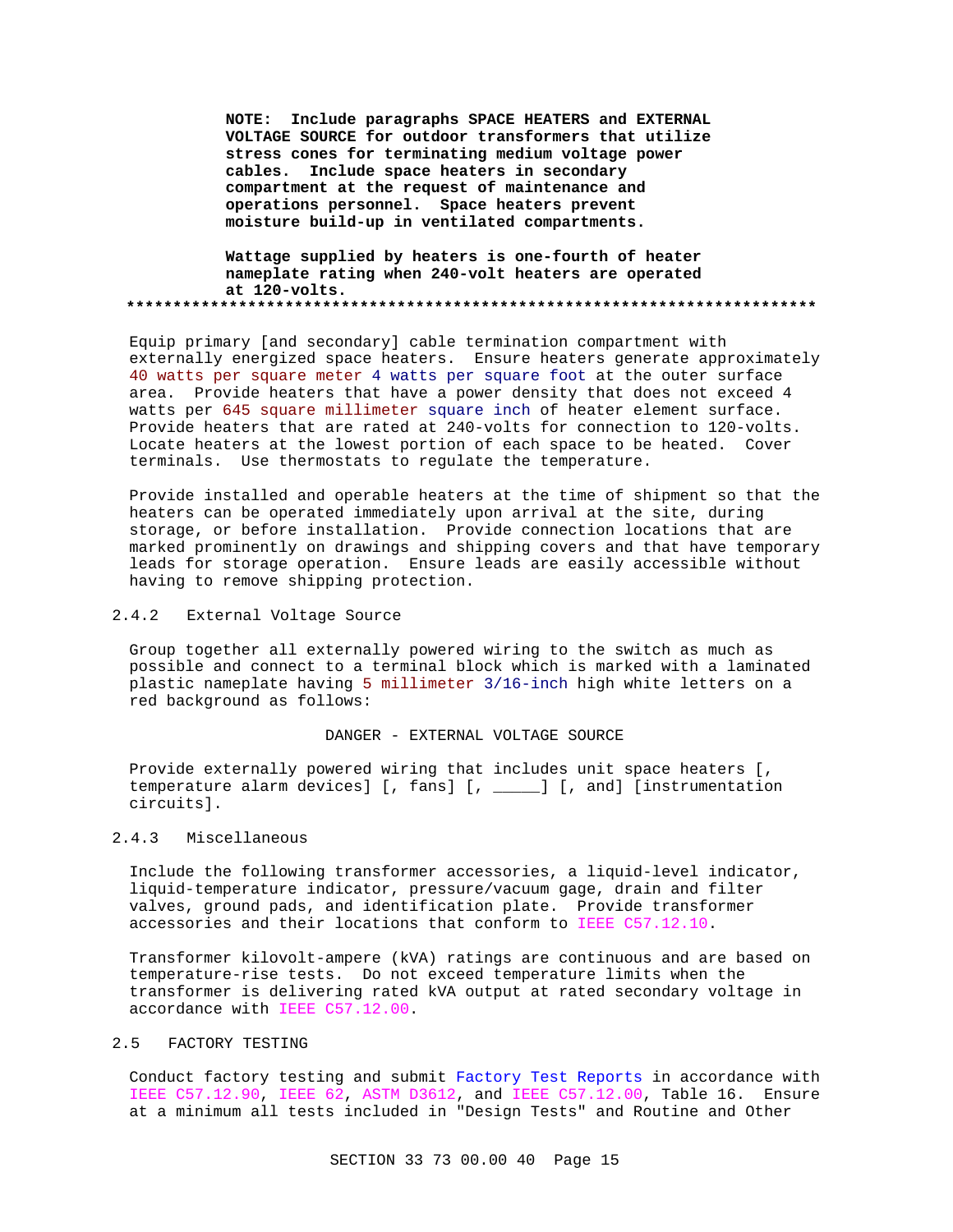**NOTE: Include paragraphs SPACE HEATERS and EXTERNAL VOLTAGE SOURCE for outdoor transformers that utilize stress cones for terminating medium voltage power cables. Include space heaters in secondary compartment at the request of maintenance and operations personnel. Space heaters prevent moisture build-up in ventilated compartments.**

**Wattage supplied by heaters is one-fourth of heater nameplate rating when 240-volt heaters are operated at 120-volts. \*\*\*\*\*\*\*\*\*\*\*\*\*\*\*\*\*\*\*\*\*\*\*\*\*\*\*\*\*\*\*\*\*\*\*\*\*\*\*\*\*\*\*\*\*\*\*\*\*\*\*\*\*\*\*\*\*\*\*\*\*\*\*\*\*\*\*\*\*\*\*\*\*\***

Equip primary [and secondary] cable termination compartment with externally energized space heaters. Ensure heaters generate approximately 40 watts per square meter 4 watts per square foot at the outer surface area. Provide heaters that have a power density that does not exceed 4 watts per 645 square millimeter square inch of heater element surface. Provide heaters that are rated at 240-volts for connection to 120-volts. Locate heaters at the lowest portion of each space to be heated. Cover terminals. Use thermostats to regulate the temperature.

Provide installed and operable heaters at the time of shipment so that the heaters can be operated immediately upon arrival at the site, during storage, or before installation. Provide connection locations that are marked prominently on drawings and shipping covers and that have temporary leads for storage operation. Ensure leads are easily accessible without having to remove shipping protection.

# 2.4.2 External Voltage Source

Group together all externally powered wiring to the switch as much as possible and connect to a terminal block which is marked with a laminated plastic nameplate having 5 millimeter 3/16-inch high white letters on a red background as follows:

#### DANGER - EXTERNAL VOLTAGE SOURCE

Provide externally powered wiring that includes unit space heaters [, temperature alarm devices] [, fans] [, \_\_\_\_\_] [, and] [instrumentation circuits].

## 2.4.3 Miscellaneous

Include the following transformer accessories, a liquid-level indicator, liquid-temperature indicator, pressure/vacuum gage, drain and filter valves, ground pads, and identification plate. Provide transformer accessories and their locations that conform to IEEE C57.12.10.

Transformer kilovolt-ampere (kVA) ratings are continuous and are based on temperature-rise tests. Do not exceed temperature limits when the transformer is delivering rated kVA output at rated secondary voltage in accordance with IEEE C57.12.00.

## 2.5 FACTORY TESTING

Conduct factory testing and submit Factory Test Reports in accordance with IEEE C57.12.90, IEEE 62, ASTM D3612, and IEEE C57.12.00, Table 16. Ensure at a minimum all tests included in "Design Tests" and Routine and Other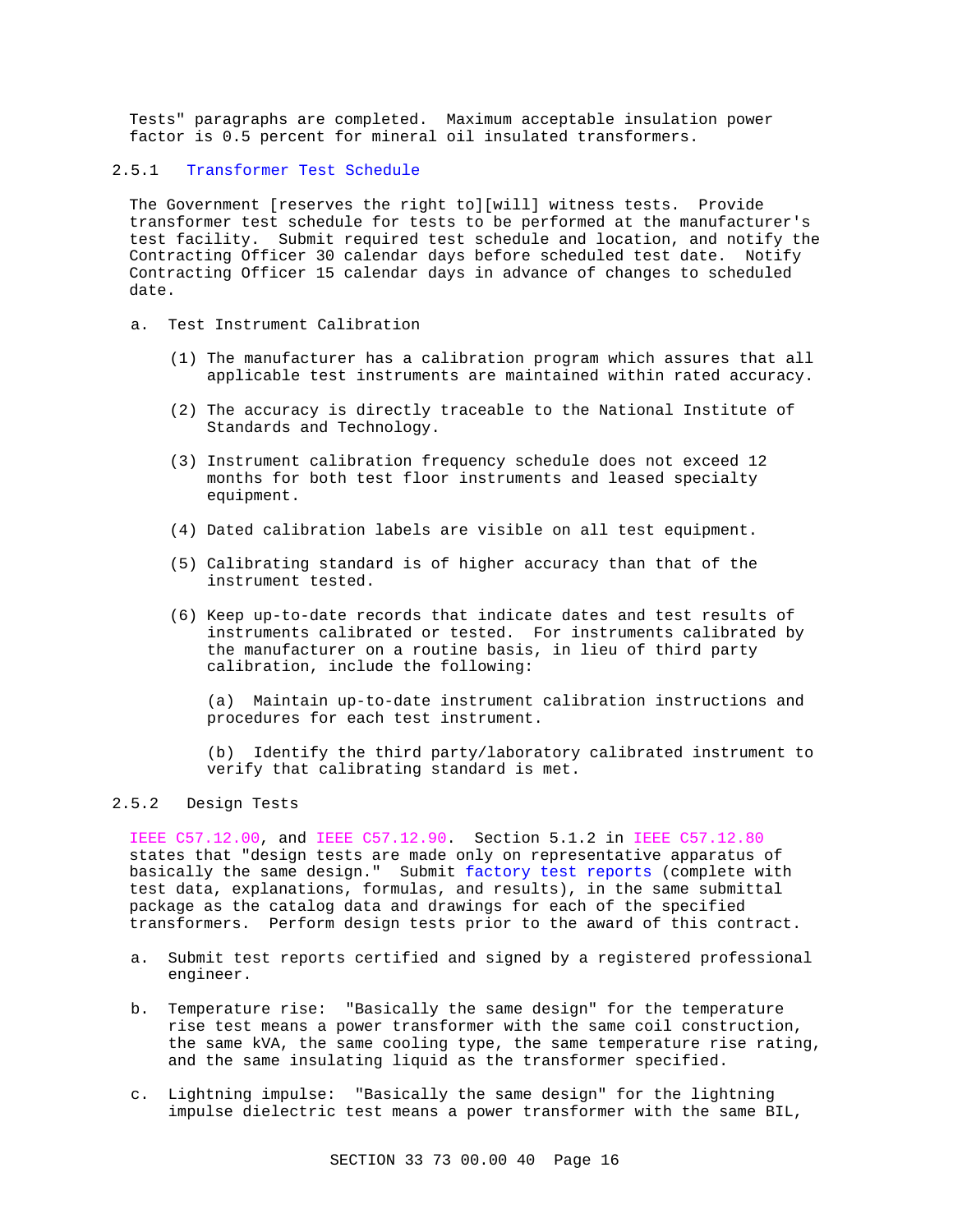Tests" paragraphs are completed. Maximum acceptable insulation power factor is 0.5 percent for mineral oil insulated transformers.

# 2.5.1 Transformer Test Schedule

The Government [reserves the right to][will] witness tests. Provide transformer test schedule for tests to be performed at the manufacturer's test facility. Submit required test schedule and location, and notify the Contracting Officer 30 calendar days before scheduled test date. Notify Contracting Officer 15 calendar days in advance of changes to scheduled date.

- a. Test Instrument Calibration
	- (1) The manufacturer has a calibration program which assures that all applicable test instruments are maintained within rated accuracy.
	- (2) The accuracy is directly traceable to the National Institute of Standards and Technology.
	- (3) Instrument calibration frequency schedule does not exceed 12 months for both test floor instruments and leased specialty equipment.
	- (4) Dated calibration labels are visible on all test equipment.
	- (5) Calibrating standard is of higher accuracy than that of the instrument tested.
	- (6) Keep up-to-date records that indicate dates and test results of instruments calibrated or tested. For instruments calibrated by the manufacturer on a routine basis, in lieu of third party calibration, include the following:

(a) Maintain up-to-date instrument calibration instructions and procedures for each test instrument.

(b) Identify the third party/laboratory calibrated instrument to verify that calibrating standard is met.

# 2.5.2 Design Tests

IEEE C57.12.00, and IEEE C57.12.90. Section 5.1.2 in IEEE C57.12.80 states that "design tests are made only on representative apparatus of basically the same design." Submit factory test reports (complete with test data, explanations, formulas, and results), in the same submittal package as the catalog data and drawings for each of the specified transformers. Perform design tests prior to the award of this contract.

- a. Submit test reports certified and signed by a registered professional engineer.
- b. Temperature rise: "Basically the same design" for the temperature rise test means a power transformer with the same coil construction, the same kVA, the same cooling type, the same temperature rise rating, and the same insulating liquid as the transformer specified.
- c. Lightning impulse: "Basically the same design" for the lightning impulse dielectric test means a power transformer with the same BIL,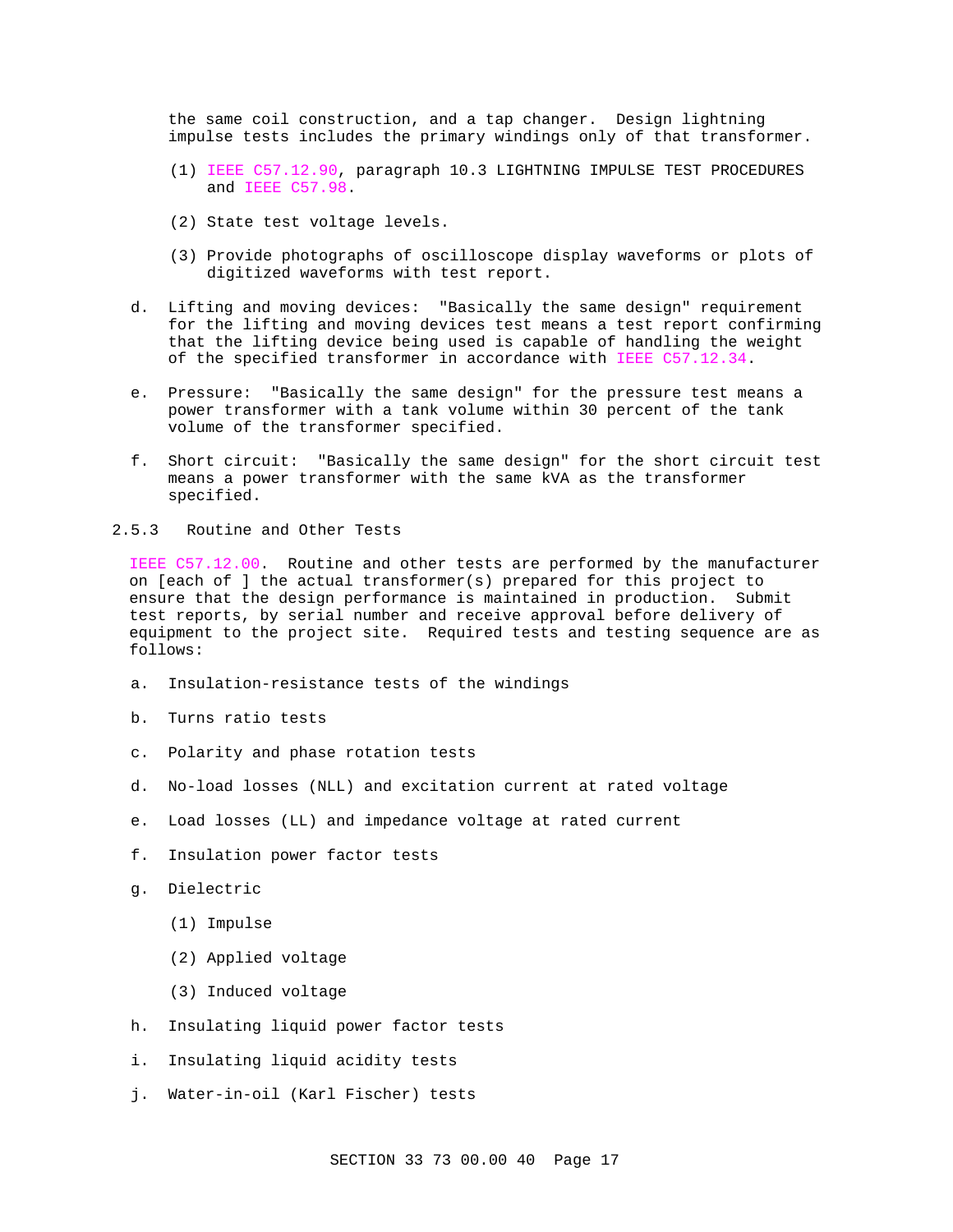the same coil construction, and a tap changer. Design lightning impulse tests includes the primary windings only of that transformer.

- (1) IEEE C57.12.90, paragraph 10.3 LIGHTNING IMPULSE TEST PROCEDURES and IEEE C57.98.
- (2) State test voltage levels.
- (3) Provide photographs of oscilloscope display waveforms or plots of digitized waveforms with test report.
- d. Lifting and moving devices: "Basically the same design" requirement for the lifting and moving devices test means a test report confirming that the lifting device being used is capable of handling the weight of the specified transformer in accordance with IEEE C57.12.34.
- e. Pressure: "Basically the same design" for the pressure test means a power transformer with a tank volume within 30 percent of the tank volume of the transformer specified.
- f. Short circuit: "Basically the same design" for the short circuit test means a power transformer with the same kVA as the transformer specified.
- 2.5.3 Routine and Other Tests

IEEE C57.12.00. Routine and other tests are performed by the manufacturer on [each of ] the actual transformer(s) prepared for this project to ensure that the design performance is maintained in production. Submit test reports, by serial number and receive approval before delivery of equipment to the project site. Required tests and testing sequence are as follows:

- a. Insulation-resistance tests of the windings
- b. Turns ratio tests
- c. Polarity and phase rotation tests
- d. No-load losses (NLL) and excitation current at rated voltage
- e. Load losses (LL) and impedance voltage at rated current
- f. Insulation power factor tests
- g. Dielectric
	- (1) Impulse
	- (2) Applied voltage
	- (3) Induced voltage
- h. Insulating liquid power factor tests
- i. Insulating liquid acidity tests
- j. Water-in-oil (Karl Fischer) tests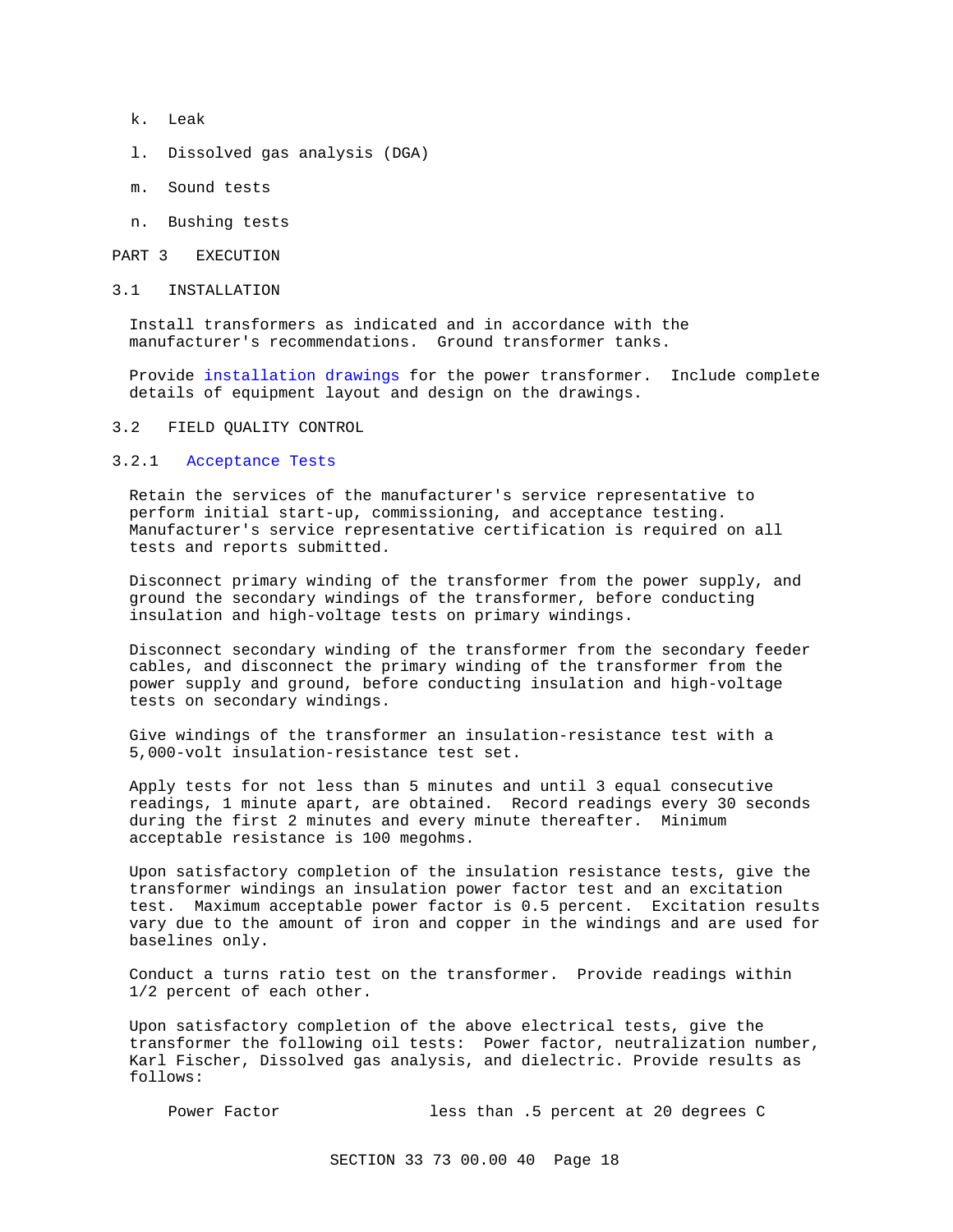- k. Leak
- l. Dissolved gas analysis (DGA)
- m. Sound tests
- n. Bushing tests

#### PART 3 EXECUTION

3.1 INSTALLATION

Install transformers as indicated and in accordance with the manufacturer's recommendations. Ground transformer tanks.

Provide installation drawings for the power transformer. Include complete details of equipment layout and design on the drawings.

#### 3.2 FIELD QUALITY CONTROL

## 3.2.1 Acceptance Tests

Retain the services of the manufacturer's service representative to perform initial start-up, commissioning, and acceptance testing. Manufacturer's service representative certification is required on all tests and reports submitted.

Disconnect primary winding of the transformer from the power supply, and ground the secondary windings of the transformer, before conducting insulation and high-voltage tests on primary windings.

Disconnect secondary winding of the transformer from the secondary feeder cables, and disconnect the primary winding of the transformer from the power supply and ground, before conducting insulation and high-voltage tests on secondary windings.

Give windings of the transformer an insulation-resistance test with a 5,000-volt insulation-resistance test set.

Apply tests for not less than 5 minutes and until 3 equal consecutive readings, 1 minute apart, are obtained. Record readings every 30 seconds during the first 2 minutes and every minute thereafter. Minimum acceptable resistance is 100 megohms.

Upon satisfactory completion of the insulation resistance tests, give the transformer windings an insulation power factor test and an excitation test. Maximum acceptable power factor is 0.5 percent. Excitation results vary due to the amount of iron and copper in the windings and are used for baselines only.

Conduct a turns ratio test on the transformer. Provide readings within 1/2 percent of each other.

Upon satisfactory completion of the above electrical tests, give the transformer the following oil tests: Power factor, neutralization number, Karl Fischer, Dissolved gas analysis, and dielectric. Provide results as follows:

Power Factor less than .5 percent at 20 degrees C